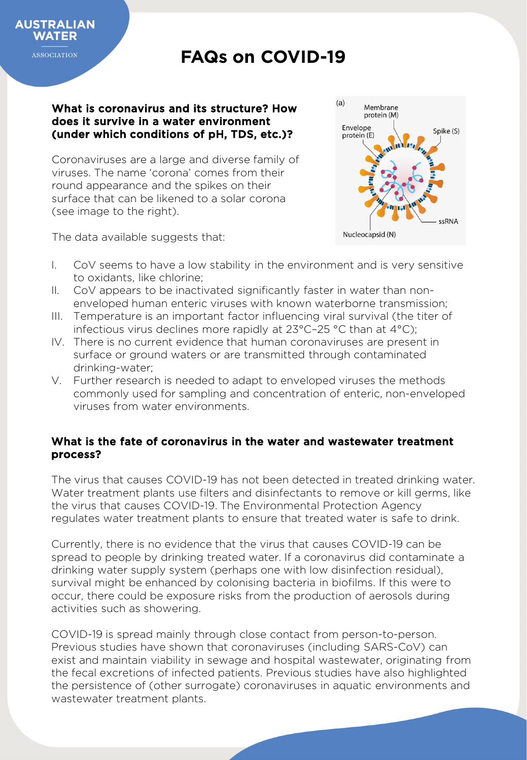

**ASSOCIATION** 

## **FAQs on COVID-19**

#### What is coronavirus and its structure? How does it survive in a water environment (under which conditions of pH, TDS, etc.)?

Coronaviruses are a large and diverse family of viruses. The name 'corona' comes from their round appearance and the spikes on their surface that can be likened to a solar corona (see image to the right).



The data available suggests that:

- I. CoV seems to have a low stability in the environment and is very sensitive to oxidants, like chlorine;
- II. CoV appears to be inactivated significantly faster in water than nonenveloped human enteric viruses with known waterborne transmission;
- III. Temperature is an important factor influencing viral survival (the titer of infectious virus declines more rapidly at 23°C–25 °C than at 4°C);
- IV. There is no current evidence that human coronaviruses are present in surface or ground waters or are transmitted through contaminated drinking-water;
- V. Further research is needed to adapt to enveloped viruses the methods commonly used for sampling and concentration of enteric, non-enveloped viruses from water environments.

### What is the fate of coronavirus in the water and wastewater treatment process?

The virus that causes COVID-19 has not been detected in treated drinking water. Water treatment plants use filters and disinfectants to remove or kill germs, like the virus that causes COVID-19. The Environmental Protection Agency regulates water treatment plants to ensure that treated water is safe to drink.

Currently, there is no evidence that the virus that causes COVID-19 can be spread to people by drinking treated water. If a coronavirus did contaminate a drinking water supply system (perhaps one with low disinfection residual), survival might be enhanced by colonising bacteria in biofilms. If this were to occur, there could be exposure risks from the production of aerosols during activities such as showering.

COVID-19 is spread mainly through close contact from person-to-person. Previous studies have shown that coronaviruses (including SARS-CoV) can exist and maintain viability in sewage and hospital wastewater, originating from the fecal excretions of infected patients. Previous studies have also highlighted the persistence of (other surrogate) coronaviruses in aquatic environments and wastewater treatment plants.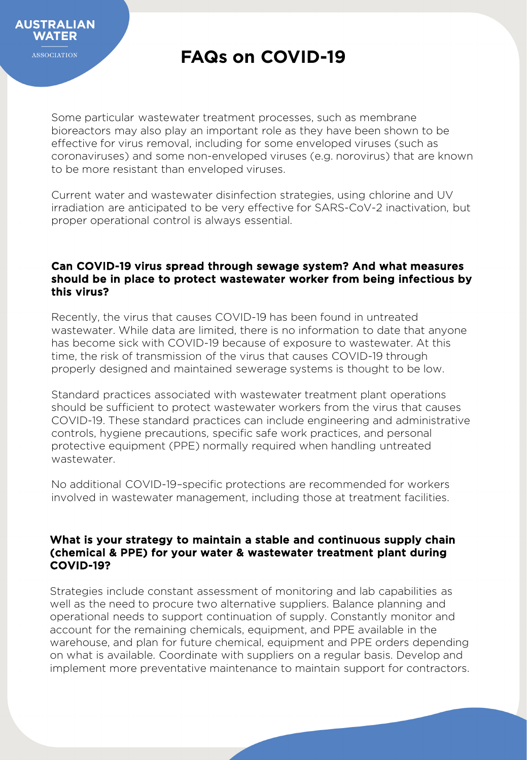

Some particular wastewater treatment processes, such as membrane bioreactors may also play an important role as they have been shown to be effective for virus removal, including for some enveloped viruses (such as coronaviruses) and some non-enveloped viruses (e.g. norovirus) that are known to be more resistant than enveloped viruses.

Current water and wastewater disinfection strategies, using chlorine and UV irradiation are anticipated to be very effective for SARS-CoV-2 inactivation, but proper operational control is always essential.

#### Can COVID-19 virus spread through sewage system? And what measures should be in place to protect wastewater worker from being infectious by this virus?

Recently, the virus that causes COVID-19 has been found in untreated wastewater. While data are limited, there is no information to date that anyone has become sick with COVID-19 because of exposure to wastewater. At this time, the risk of transmission of the virus that causes COVID-19 through properly designed and maintained sewerage systems is thought to be low.

Standard practices associated with wastewater treatment plant operations should be sufficient to protect wastewater workers from the virus that causes COVID-19. These standard practices can include engineering and administrative controls, hygiene precautions, specific safe work practices, and personal protective equipment (PPE) normally required when handling untreated wastewater.

No additional COVID-19–specific protections are recommended for workers involved in wastewater management, including those at treatment facilities.

#### What is your strategy to maintain a stable and continuous supply chain (chemical & PPE) for your water & wastewater treatment plant during COVID-19?

Strategies include constant assessment of monitoring and lab capabilities as well as the need to procure two alternative suppliers. Balance planning and operational needs to support continuation of supply. Constantly monitor and account for the remaining chemicals, equipment, and PPE available in the warehouse, and plan for future chemical, equipment and PPE orders depending on what is available. Coordinate with suppliers on a regular basis. Develop and implement more preventative maintenance to maintain support for contractors.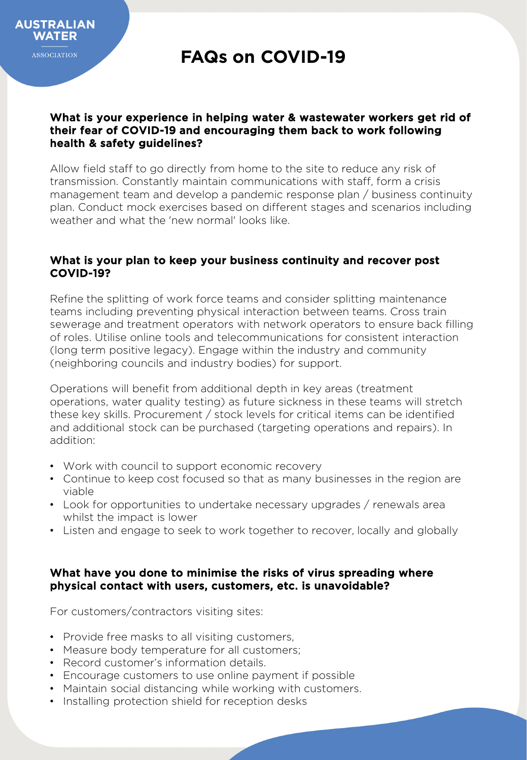#### What is your experience in helping water & wastewater workers get rid of their fear of COVID-19 and encouraging them back to work following health & safety guidelines?

Allow field staff to go directly from home to the site to reduce any risk of transmission. Constantly maintain communications with staff, form a crisis management team and develop a pandemic response plan / business continuity plan. Conduct mock exercises based on different stages and scenarios including weather and what the 'new normal' looks like.

#### What is your plan to keep your business continuity and recover post COVID-19?

Refine the splitting of work force teams and consider splitting maintenance teams including preventing physical interaction between teams. Cross train sewerage and treatment operators with network operators to ensure back filling of roles. Utilise online tools and telecommunications for consistent interaction (long term positive legacy). Engage within the industry and community (neighboring councils and industry bodies) for support.

Operations will benefit from additional depth in key areas (treatment operations, water quality testing) as future sickness in these teams will stretch these key skills. Procurement / stock levels for critical items can be identified and additional stock can be purchased (targeting operations and repairs). In addition:

- Work with council to support economic recovery
- Continue to keep cost focused so that as many businesses in the region are viable
- Look for opportunities to undertake necessary upgrades / renewals area whilst the impact is lower
- Listen and engage to seek to work together to recover, locally and globally

#### What have you done to minimise the risks of virus spreading where physical contact with users, customers, etc. is unavoidable?

For customers/contractors visiting sites:

- Provide free masks to all visiting customers,
- Measure body temperature for all customers;
- Record customer's information details.
- Encourage customers to use online payment if possible
- Maintain social distancing while working with customers.
- Installing protection shield for reception desks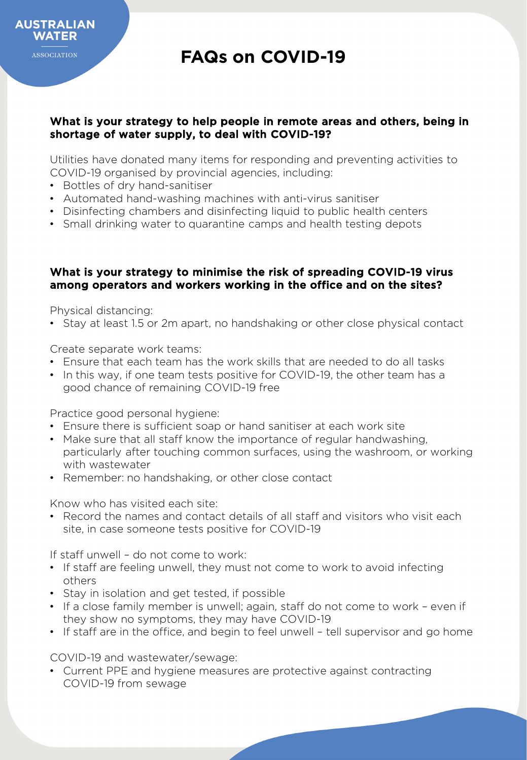#### What is your strategy to help people in remote areas and others, being in shortage of water supply, to deal with COVID-19?

Utilities have donated many items for responding and preventing activities to COVID-19 organised by provincial agencies, including:

- Bottles of dry hand-sanitiser
- Automated hand-washing machines with anti-virus sanitiser
- Disinfecting chambers and disinfecting liquid to public health centers
- Small drinking water to quarantine camps and health testing depots

#### What is your strategy to minimise the risk of spreading COVID-19 virus among operators and workers working in the office and on the sites?

Physical distancing:

• Stay at least 1.5 or 2m apart, no handshaking or other close physical contact

Create separate work teams:

- Ensure that each team has the work skills that are needed to do all tasks
- In this way, if one team tests positive for COVID-19, the other team has a good chance of remaining COVID-19 free

Practice good personal hygiene:

- Ensure there is sufficient soap or hand sanitiser at each work site
- Make sure that all staff know the importance of regular handwashing, particularly after touching common surfaces, using the washroom, or working with wastewater
- Remember: no handshaking, or other close contact

Know who has visited each site:

• Record the names and contact details of all staff and visitors who visit each site, in case someone tests positive for COVID-19

If staff unwell – do not come to work:

- If staff are feeling unwell, they must not come to work to avoid infecting others
- Stay in isolation and get tested, if possible
- If a close family member is unwell; again, staff do not come to work even if they show no symptoms, they may have COVID-19
- If staff are in the office, and begin to feel unwell tell supervisor and go home

COVID-19 and wastewater/sewage:

• Current PPE and hygiene measures are protective against contracting COVID-19 from sewage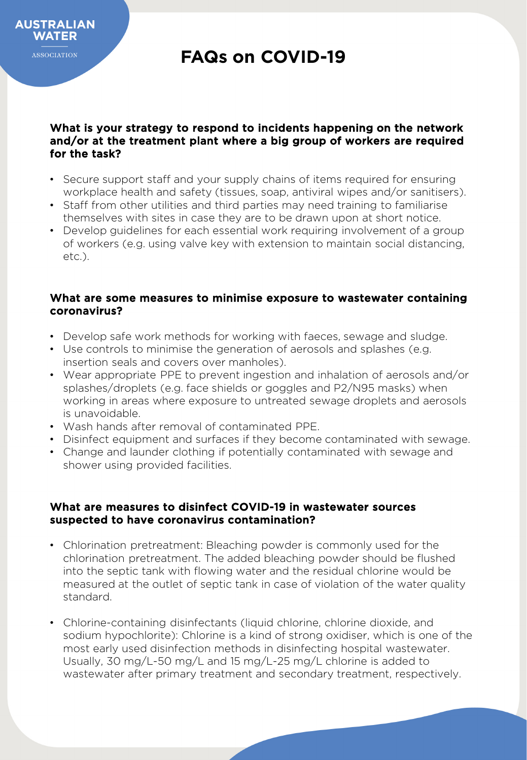**WATER ASSOCIATION** 

**AUSTRALIAN** 

## **FAQs on COVID-19**

#### What is your strategy to respond to incidents happening on the network and/or at the treatment plant where a big group of workers are required for the task?

- Secure support staff and your supply chains of items required for ensuring workplace health and safety (tissues, soap, antiviral wipes and/or sanitisers).
- Staff from other utilities and third parties may need training to familiarise themselves with sites in case they are to be drawn upon at short notice.
- Develop guidelines for each essential work requiring involvement of a group of workers (e.g. using valve key with extension to maintain social distancing, etc.).

#### What are some measures to minimise exposure to wastewater containing coronavirus?

- Develop safe work methods for working with faeces, sewage and sludge.
- Use controls to minimise the generation of aerosols and splashes (e.g. insertion seals and covers over manholes).
- Wear appropriate PPE to prevent ingestion and inhalation of aerosols and/or splashes/droplets (e.g. face shields or goggles and P2/N95 masks) when working in areas where exposure to untreated sewage droplets and aerosols is unavoidable.
- Wash hands after removal of contaminated PPE.
- Disinfect equipment and surfaces if they become contaminated with sewage.
- Change and launder clothing if potentially contaminated with sewage and shower using provided facilities.

#### What are measures to disinfect COVID-19 in wastewater sources suspected to have coronavirus contamination?

- Chlorination pretreatment: Bleaching powder is commonly used for the chlorination pretreatment. The added bleaching powder should be flushed into the septic tank with flowing water and the residual chlorine would be measured at the outlet of septic tank in case of violation of the water quality standard.
- Chlorine-containing disinfectants (liquid chlorine, chlorine dioxide, and sodium hypochlorite): Chlorine is a kind of strong oxidiser, which is one of the most early used disinfection methods in disinfecting hospital wastewater. Usually, 30 mg/L-50 mg/L and 15 mg/L-25 mg/L chlorine is added to wastewater after primary treatment and secondary treatment, respectively.